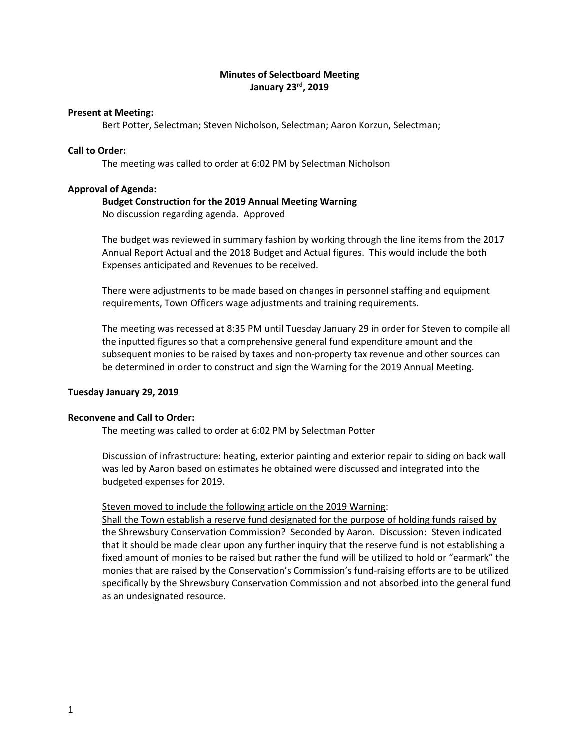# **Minutes of Selectboard Meeting January 23rd, 2019**

### **Present at Meeting:**

Bert Potter, Selectman; Steven Nicholson, Selectman; Aaron Korzun, Selectman;

# **Call to Order:**

The meeting was called to order at 6:02 PM by Selectman Nicholson

### **Approval of Agenda:**

## **Budget Construction for the 2019 Annual Meeting Warning**

No discussion regarding agenda. Approved

The budget was reviewed in summary fashion by working through the line items from the 2017 Annual Report Actual and the 2018 Budget and Actual figures. This would include the both Expenses anticipated and Revenues to be received.

There were adjustments to be made based on changes in personnel staffing and equipment requirements, Town Officers wage adjustments and training requirements.

The meeting was recessed at 8:35 PM until Tuesday January 29 in order for Steven to compile all the inputted figures so that a comprehensive general fund expenditure amount and the subsequent monies to be raised by taxes and non-property tax revenue and other sources can be determined in order to construct and sign the Warning for the 2019 Annual Meeting.

## **Tuesday January 29, 2019**

### **Reconvene and Call to Order:**

The meeting was called to order at 6:02 PM by Selectman Potter

Discussion of infrastructure: heating, exterior painting and exterior repair to siding on back wall was led by Aaron based on estimates he obtained were discussed and integrated into the budgeted expenses for 2019.

## Steven moved to include the following article on the 2019 Warning:

Shall the Town establish a reserve fund designated for the purpose of holding funds raised by the Shrewsbury Conservation Commission? Seconded by Aaron. Discussion: Steven indicated that it should be made clear upon any further inquiry that the reserve fund is not establishing a fixed amount of monies to be raised but rather the fund will be utilized to hold or "earmark" the monies that are raised by the Conservation's Commission's fund-raising efforts are to be utilized specifically by the Shrewsbury Conservation Commission and not absorbed into the general fund as an undesignated resource.